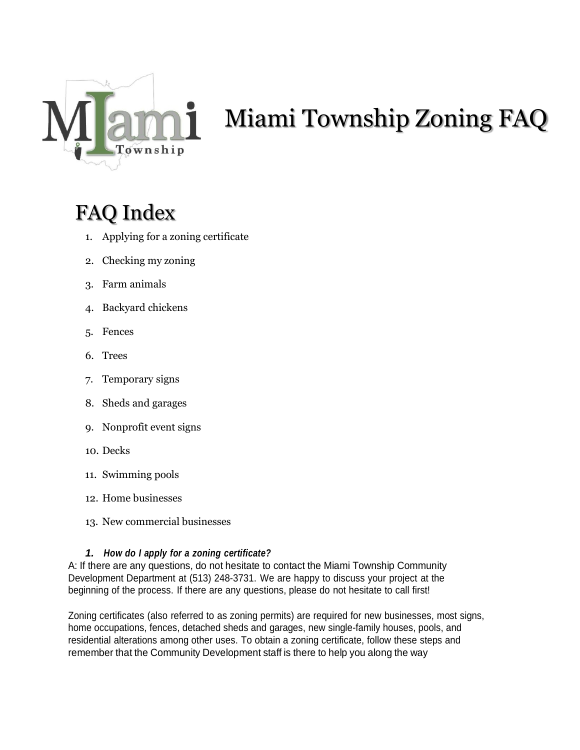

# Miami Township Zoning FAQ

# FAQ Index

- 1. Applying for a zoning certificate
- 2. Checking my zoning
- 3. Farm animals
- 4. Backyard chickens
- 5. Fences
- 6. Trees
- 7. Temporary signs
- 8. Sheds and garages
- 9. Nonprofit event signs
- 10. Decks
- 11. Swimming pools
- 12. Home businesses
- 13. New commercial businesses

# *1. How do I apply for a zoning certificate?*

A: If there are any questions, do not hesitate to contact the Miami Township Community Development Department at (513) 248-3731. We are happy to discuss your project at the beginning of the process. If there are any questions, please do not hesitate to call first!

Zoning certificates (also referred to as zoning permits) are required for new businesses, most signs, home occupations, fences, detached sheds and garages, new single-family houses, pools, and residential alterations among other uses. To obtain a zoning certificate, follow these steps and remember that the Community Development staff is there to help you along the way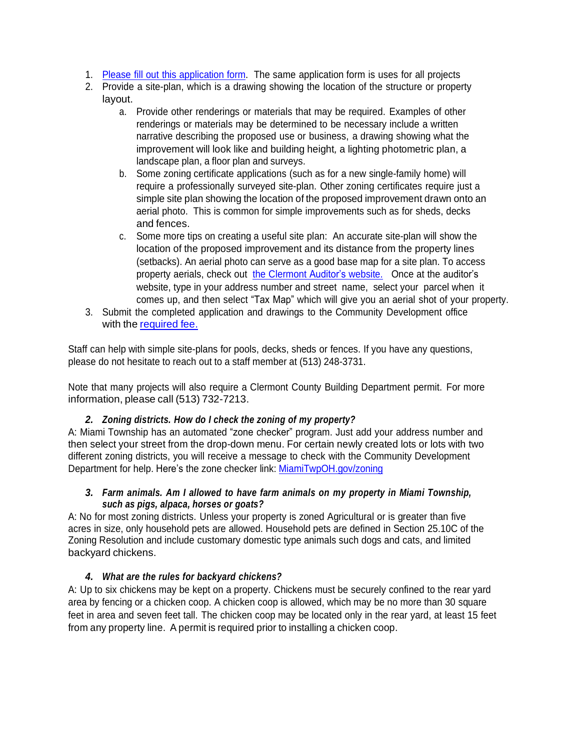- 1. Please fill out this [application](https://www.miamitwpoh.gov/PDF/CD/ZoningCertificates/103018 ZoningCertApp.pdf) form. The same application form is uses for all projects
- 2. Provide a site-plan, which is a drawing showing the location of the structure or property layout.
	- a. Provide other renderings or materials that may be required. Examples of other renderings or materials may be determined to be necessary include a written narrative describing the proposed use or business, a drawing showing what the improvement will look like and building height*,* a lighting photometric plan, a landscape plan, a floor plan and surveys.
	- b. Some zoning certificate applications (such as for a new single-family home) will require a professionally surveyed site-plan. Other zoning certificates require just a simple site plan showing the location of the proposed improvement drawn onto an aerial photo. This is common for simple improvements such as for sheds, decks and fences.
	- c. Some more tips on creating a useful site plan: An accurate site-plan will show the location of the proposed improvement and its distance from the property lines (setbacks). An aerial photo can serve as a good base map for a site plan. To access property aerials, check out the [Clermont](https://www.clermontauditor.org/) Auditor's website. Once at the auditor's website, type in your address number and street name, select your parcel when it comes up, and then select "Tax Map" which will give you an aerial shot of your property.
- 3. Submit the completed application and drawings to the Community Development office with the [required](http://www.miamitwpoh.gov/PDF/CD/FeeSchedule.pdf) fee.

Staff can help with simple site-plans for pools, decks, sheds or fences. If you have any questions, please do not hesitate to reach out to a staff member at (513) 248-3731.

Note that many projects will also require a Clermont County Building Department permit. For more information, please call (513) 732-7213.

# *2. Zoning districts. How do I check the zoning of my property?*

A: Miami Township has an automated "zone checker" program. Just add your address number and then select your street from the drop-down menu. For certain newly created lots or lots with two different zoning districts, you will receive a message to check with the Community Development Department for help. Here's the zone checker link: [MiamiTwpOH.gov/zoning](https://www.miamitwpoh.gov/zoning)

#### *3. Farm animals. Am I allowed to have farm animals on my property in Miami Township, such as pigs, alpaca, horses or goats?*

A: No for most zoning districts. Unless your property is zoned Agricultural or is greater than five acres in size, only household pets are allowed. Household pets are defined in Section 25.10C of the Zoning Resolution and include customary domestic type animals such dogs and cats, and limited backyard chickens.

#### *4. What are the rules for backyard chickens?*

A: Up to six chickens may be kept on a property. Chickens must be securely confined to the rear yard area by fencing or a chicken coop. A chicken coop is allowed, which may be no more than 30 square feet in area and seven feet tall. The chicken coop may be located only in the rear yard, at least 15 feet from any property line. A permit is required prior to installing a chicken coop.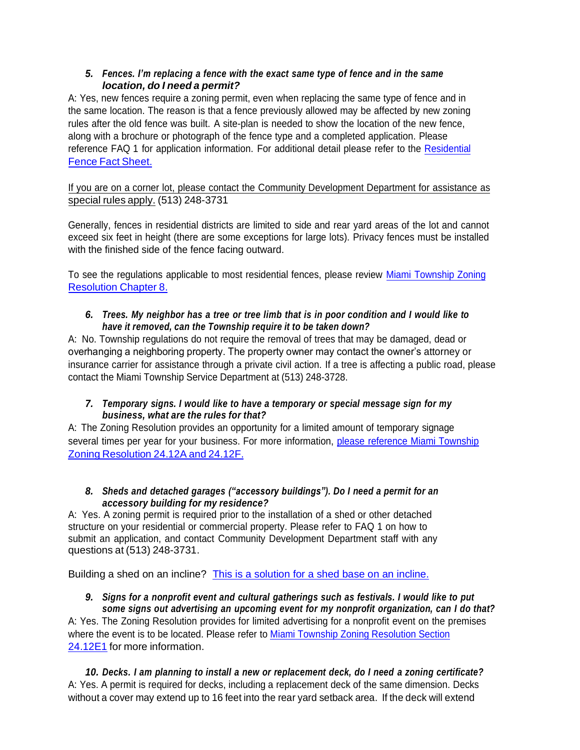#### *5. Fences. I'm replacing a fence with the exact same type of fence and in the same location, do I need a permit?*

A: Yes, new fences require a zoning permit, even when replacing the same type of fence and in the same location. The reason is that a fence previously allowed may be affected by new zoning rules after the old fence was built. A site-plan is needed to show the location of the new fence, along with a brochure or photograph of the fence type and a completed application. Please reference FAQ 1 for application information. For additional detail please refer to the [Residential](http://www.miamitwpoh.gov/PDF/CD/041119-FenceFactSheet.pdf) [Fence Fact Sheet.](http://www.miamitwpoh.gov/PDF/CD/041119-FenceFactSheet.pdf)

If you are on a corner lot, please contact the Community Development Department for assistance as special rules apply. (513) 248-3731

Generally, fences in residential districts are limited to side and rear yard areas of the lot and cannot exceed six feet in height (there are some exceptions for large lots). Privacy fences must be installed with the finished side of the fence facing outward.

[To see the regulations applicable to most residential fences, please review](https://www.miamitwpoh.gov/PDF/CD/ZoningResolution/chapters/CH8-021121.pdf) [Miami Township Zoning](http://www.miamitwpoh.gov/PDF/CD/ZoningResolution/chapters/CH8-071619.pdf) [Resolution Chapter 8.](http://www.miamitwpoh.gov/PDF/CD/ZoningResolution/chapters/CH8-071619.pdf)

#### 6. Trees. My neighbor has a tree or tree limb that is in poor condition and I would like to *have it removed, can the Township require it to be taken down?*

A: No. Township regulations do not require the removal of trees that may be damaged, dead or overhanging a neighboring property. The property owner may contact the owner's attorney or insurance carrier for assistance through a private civil action. If a tree is affecting a public road, please contact the Miami Township Service Department at (513) 248-3728.

#### *7. Temporary signs. I would like to have a temporary or special message sign for my business, what are the rules for that?*

A: The Zoning Resolution provides an opportunity for a limited amount of temporary signage several times per year for your business. For more information, please reference Miami [Township](http://www.miamitwpoh.gov/PDF/CD/ZoningResolution/chapters/CH24-080119.pdf) Zoning [Resolution](http://www.miamitwpoh.gov/PDF/CD/ZoningResolution/chapters/CH24-080119.pdf) 24.12A and 24.12F.

#### *8. Sheds and detached garages ("accessory buildings"). Do I need a permit for an accessory building for my residence?*

A: Yes. A zoning permit is required prior to the installation of a shed or other detached structure on your residential or commercial property. Please refer to FAQ 1 on how to submit an application, and contact Community Development Department staff with any questions at (513) 248-3731.

Building a shed on an incline? [This is a solution for a shed base on an incline.](https://www.miamitwpoh.gov/PDF/CD/082421-ShedBaseGraphic.pdf)

# *9. Signs for a nonprofit event and cultural gatherings such as festivals. I would like to put some signs out advertising an upcoming event for my nonprofit organization, can I do that?*

A: Yes. The Zoning Resolution provides for limited advertising for a nonprofit event on the premises where the event is to be located. Please refer to Miami Township Zoning [Resolution](http://www.miamitwpoh.gov/PDF/CD/ZoningResolution/chapters/CH24-080119.pdf) Section [24.12E1](http://www.miamitwpoh.gov/PDF/CD/ZoningResolution/chapters/CH24-080119.pdf) for more information.

*10. Decks. I am planning to install a new or replacement deck, do I need a zoning certificate?* A: Yes. A permit is required for decks, including a replacement deck of the same dimension. Decks without a cover may extend up to 16 feet into the rear yard setback area. If the deck will extend